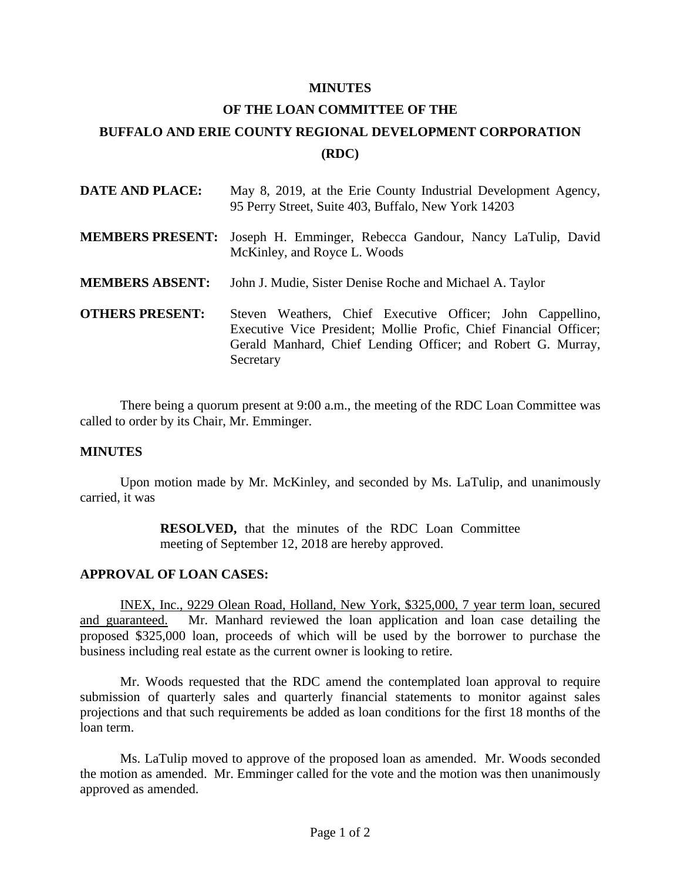## **MINUTES**

## **OF THE LOAN COMMITTEE OF THE BUFFALO AND ERIE COUNTY REGIONAL DEVELOPMENT CORPORATION (RDC)**

| <b>DATE AND PLACE:</b> | May 8, 2019, at the Erie County Industrial Development Agency,<br>95 Perry Street, Suite 403, Buffalo, New York 14203                                                                                        |
|------------------------|--------------------------------------------------------------------------------------------------------------------------------------------------------------------------------------------------------------|
|                        | MEMBERS PRESENT: Joseph H. Emminger, Rebecca Gandour, Nancy LaTulip, David<br>McKinley, and Royce L. Woods                                                                                                   |
| <b>MEMBERS ABSENT:</b> | John J. Mudie, Sister Denise Roche and Michael A. Taylor                                                                                                                                                     |
| <b>OTHERS PRESENT:</b> | Steven Weathers, Chief Executive Officer; John Cappellino,<br>Executive Vice President; Mollie Profic, Chief Financial Officer;<br>Gerald Manhard, Chief Lending Officer; and Robert G. Murray,<br>Secretary |

There being a quorum present at 9:00 a.m., the meeting of the RDC Loan Committee was called to order by its Chair, Mr. Emminger.

## **MINUTES**

Upon motion made by Mr. McKinley, and seconded by Ms. LaTulip, and unanimously carried, it was

> **RESOLVED,** that the minutes of the RDC Loan Committee meeting of September 12, 2018 are hereby approved.

## **APPROVAL OF LOAN CASES:**

INEX, Inc., 9229 Olean Road, Holland, New York, \$325,000, 7 year term loan, secured and guaranteed. Mr. Manhard reviewed the loan application and loan case detailing the proposed \$325,000 loan, proceeds of which will be used by the borrower to purchase the business including real estate as the current owner is looking to retire.

Mr. Woods requested that the RDC amend the contemplated loan approval to require submission of quarterly sales and quarterly financial statements to monitor against sales projections and that such requirements be added as loan conditions for the first 18 months of the loan term.

Ms. LaTulip moved to approve of the proposed loan as amended. Mr. Woods seconded the motion as amended. Mr. Emminger called for the vote and the motion was then unanimously approved as amended.